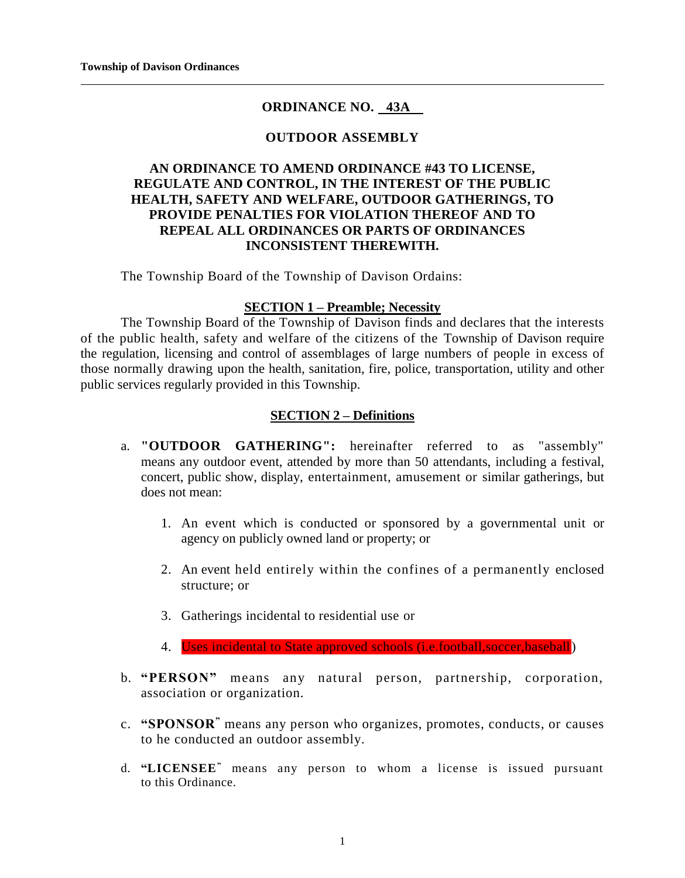# **ORDINANCE NO. 43A**

## **OUTDOOR ASSEMBLY**

## **AN ORDINANCE TO AMEND ORDINANCE #43 TO LICENSE, REGULATE AND CONTROL, IN THE INTEREST OF THE PUBLIC HEALTH, SAFETY AND WELFARE, OUTDOOR GATHERINGS, TO PROVIDE PENALTIES FOR VIOLATION THEREOF AND TO REPEAL ALL ORDINANCES OR PARTS OF ORDINANCES INCONSISTENT THEREWITH.**

The Township Board of the Township of Davison Ordains:

#### **SECTION 1 – Preamble; Necessity**

The Township Board of the Township of Davison finds and declares that the interests of the public health, safety and welfare of the citizens of the Township of Davison require the regulation, licensing and control of assemblages of large numbers of people in excess of those normally drawing upon the health, sanitation, fire, police, transportation, utility and other public services regularly provided in this Township.

## **SECTION 2 – Definitions**

- a. **"OUTDOOR GATHERING":** hereinafter referred to as "assembly" means any outdoor event, attended by more than 50 attendants, including a festival, concert, public show, display, entertainment, amusement or similar gatherings, but does not mean:
	- 1. An event which is conducted or sponsored by a governmental unit or agency on publicly owned land or property; or
	- 2. An event held entirely within the confines of a permanently enclosed structure; or
	- 3. Gatherings incidental to residential use or
	- 4. Uses incidental to State approved schools (i.e.football, soccer, baseball)
- b. **"PERSON"** means any natural person, partnership, corporation, association or organization.
- c. **"SPONSOR"** means any person who organizes, promotes, conducts, or causes to he conducted an outdoor assembly.
- d. **"LICENSEE"** means any person to whom a license is issued pursuant to this Ordinance.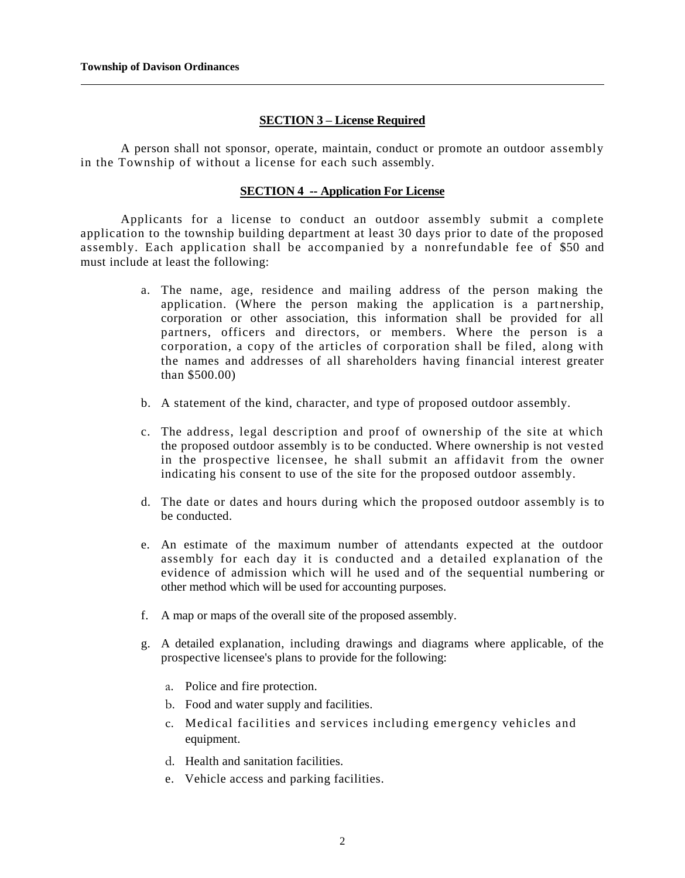#### **SECTION 3 – License Required**

A person shall not sponsor, operate, maintain, conduct or promote an outdoor assembly in the Township of without a license for each such assembly.

#### **SECTION 4 -- Application For License**

Applicants for a license to conduct an outdoor assembly submit a complete application to the township building department at least 30 days prior to date of the proposed assembly. Each application shall be accompanied by a nonrefundable fee of \$50 and must include at least the following:

- a. The name, age, residence and mailing address of the person making the application. (Where the person making the application is a partnership, corporation or other association, this information shall be provided for all partners, officers and directors, or members. Where the person is a corporation, a copy of the articles of corporation shall be filed, along with the names and addresses of all shareholders having financial interest greater than \$500.00)
- b. A statement of the kind, character, and type of proposed outdoor assembly.
- c. The address, legal description and proof of ownership of the site at which the proposed outdoor assembly is to be conducted. Where ownership is not vested in the prospective licensee, he shall submit an affidavit from the owner indicating his consent to use of the site for the proposed outdoor assembly.
- d. The date or dates and hours during which the proposed outdoor assembly is to be conducted.
- e. An estimate of the maximum number of attendants expected at the outdoor assembly for each day it is conducted and a detailed explanation of the evidence of admission which will he used and of the sequential numbering or other method which will be used for accounting purposes.
- f. A map or maps of the overall site of the proposed assembly.
- g. A detailed explanation, including drawings and diagrams where applicable, of the prospective licensee's plans to provide for the following:
	- a. Police and fire protection.
	- b. Food and water supply and facilities.
	- c. Medical facilities and services including eme rgency vehicles and equipment.
	- d. Health and sanitation facilities.
	- e. Vehicle access and parking facilities.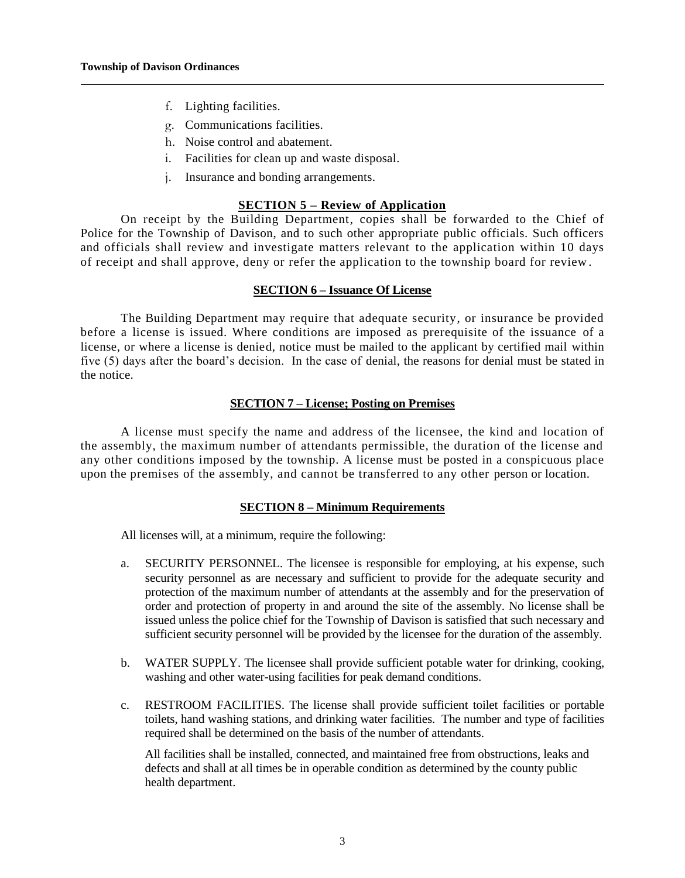- f. Lighting facilities.
- g. Communications facilities.
- h. Noise control and abatement.
- i. Facilities for clean up and waste disposal.
- j. Insurance and bonding arrangements.

## **SECTION 5 – Review of Application**

On receipt by the Building Department, copies shall be forwarded to the Chief of Police for the Township of Davison, and to such other appropriate public officials. Such officers and officials shall review and investigate matters relevant to the application within 10 days of receipt and shall approve, deny or refer the application to the township board for review .

#### **SECTION 6 – Issuance Of License**

The Building Department may require that adequate security, or insurance be provided before a license is issued. Where conditions are imposed as prerequisite of the issuance of a license, or where a license is denied, notice must be mailed to the applicant by certified mail within five (5) days after the board's decision. In the case of denial, the reasons for denial must be stated in the notice.

## **SECTION 7 – License; Posting on Premises**

A license must specify the name and address of the licensee, the kind and location of the assembly, the maximum number of attendants permissible, the duration of the license and any other conditions imposed by the township. A license must be posted in a conspicuous place upon the premises of the assembly, and cannot be transferred to any other person or location.

## **SECTION 8 – Minimum Requirements**

All licenses will, at a minimum, require the following:

- a. SECURITY PERSONNEL. The licensee is responsible for employing, at his expense, such security personnel as are necessary and sufficient to provide for the adequate security and protection of the maximum number of attendants at the assembly and for the preservation of order and protection of property in and around the site of the assembly. No license shall be issued unless the police chief for the Township of Davison is satisfied that such necessary and sufficient security personnel will be provided by the licensee for the duration of the assembly.
- b. WATER SUPPLY. The licensee shall provide sufficient potable water for drinking, cooking, washing and other water-using facilities for peak demand conditions.
- c. RESTROOM FACILITIES. The license shall provide sufficient toilet facilities or portable toilets, hand washing stations, and drinking water facilities. The number and type of facilities required shall be determined on the basis of the number of attendants.

All facilities shall be installed, connected, and maintained free from obstructions, leaks and defects and shall at all times be in operable condition as determined by the county public health department.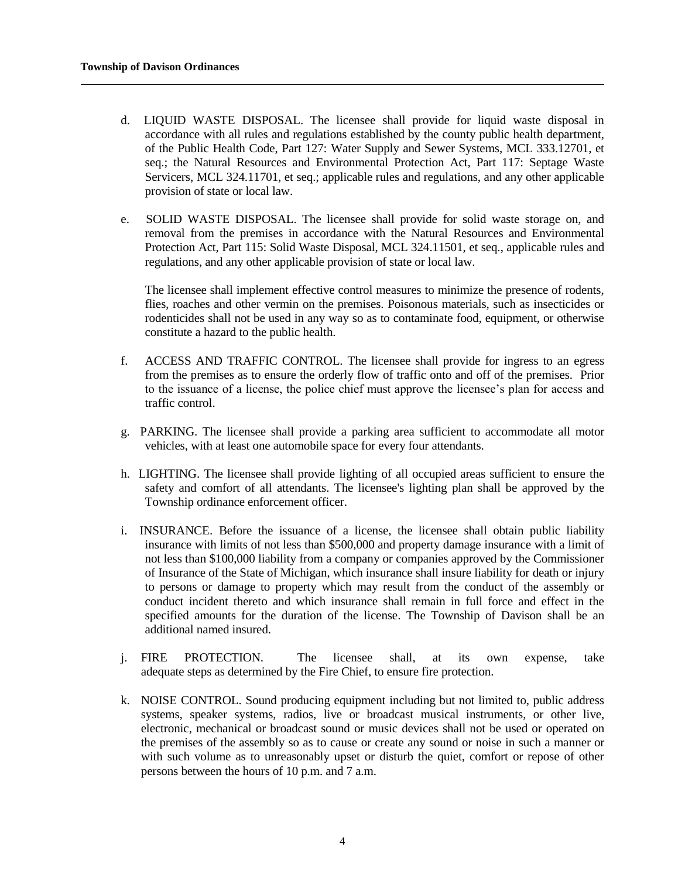- d. LIQUID WASTE DISPOSAL. The licensee shall provide for liquid waste disposal in accordance with all rules and regulations established by the county public health department, of the Public Health Code, Part 127: Water Supply and Sewer Systems, MCL 333.12701, et seq.; the Natural Resources and Environmental Protection Act, Part 117: Septage Waste Servicers, MCL 324.11701, et seq.; applicable rules and regulations, and any other applicable provision of state or local law.
- e. SOLID WASTE DISPOSAL. The licensee shall provide for solid waste storage on, and removal from the premises in accordance with the Natural Resources and Environmental Protection Act, Part 115: Solid Waste Disposal, MCL 324.11501, et seq., applicable rules and regulations, and any other applicable provision of state or local law.

The licensee shall implement effective control measures to minimize the presence of rodents, flies, roaches and other vermin on the premises. Poisonous materials, such as insecticides or rodenticides shall not be used in any way so as to contaminate food, equipment, or otherwise constitute a hazard to the public health.

- f. ACCESS AND TRAFFIC CONTROL. The licensee shall provide for ingress to an egress from the premises as to ensure the orderly flow of traffic onto and off of the premises. Prior to the issuance of a license, the police chief must approve the licensee's plan for access and traffic control.
- g. PARKING. The licensee shall provide a parking area sufficient to accommodate all motor vehicles, with at least one automobile space for every four attendants.
- h. LIGHTING. The licensee shall provide lighting of all occupied areas sufficient to ensure the safety and comfort of all attendants. The licensee's lighting plan shall be approved by the Township ordinance enforcement officer.
- i. INSURANCE. Before the issuance of a license, the licensee shall obtain public liability insurance with limits of not less than \$500,000 and property damage insurance with a limit of not less than \$100,000 liability from a company or companies approved by the Commissioner of Insurance of the State of Michigan, which insurance shall insure liability for death or injury to persons or damage to property which may result from the conduct of the assembly or conduct incident thereto and which insurance shall remain in full force and effect in the specified amounts for the duration of the license. The Township of Davison shall be an additional named insured.
- j. FIRE PROTECTION. The licensee shall, at its own expense, take adequate steps as determined by the Fire Chief, to ensure fire protection.
- k. NOISE CONTROL. Sound producing equipment including but not limited to, public address systems, speaker systems, radios, live or broadcast musical instruments, or other live, electronic, mechanical or broadcast sound or music devices shall not be used or operated on the premises of the assembly so as to cause or create any sound or noise in such a manner or with such volume as to unreasonably upset or disturb the quiet, comfort or repose of other persons between the hours of 10 p.m. and 7 a.m.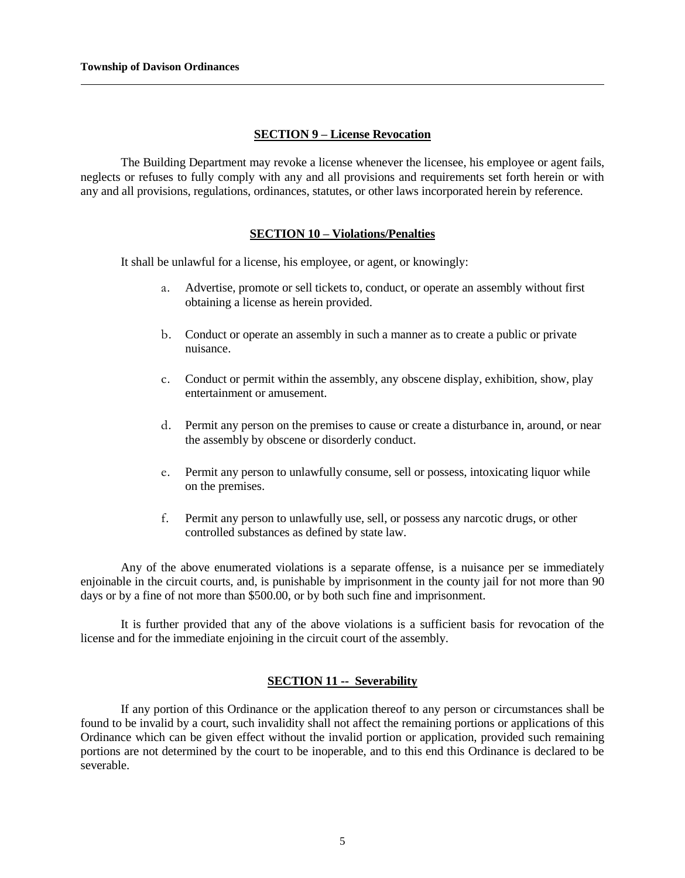## **SECTION 9 – License Revocation**

The Building Department may revoke a license whenever the licensee, his employee or agent fails, neglects or refuses to fully comply with any and all provisions and requirements set forth herein or with any and all provisions, regulations, ordinances, statutes, or other laws incorporated herein by reference.

## **SECTION 10 – Violations/Penalties**

It shall be unlawful for a license, his employee, or agent, or knowingly:

- a. Advertise, promote or sell tickets to, conduct, or operate an assembly without first obtaining a license as herein provided.
- b. Conduct or operate an assembly in such a manner as to create a public or private nuisance.
- c. Conduct or permit within the assembly, any obscene display, exhibition, show, play entertainment or amusement.
- d. Permit any person on the premises to cause or create a disturbance in, around, or near the assembly by obscene or disorderly conduct.
- e. Permit any person to unlawfully consume, sell or possess, intoxicating liquor while on the premises.
- f. Permit any person to unlawfully use, sell, or possess any narcotic drugs, or other controlled substances as defined by state law.

Any of the above enumerated violations is a separate offense, is a nuisance per se immediately enjoinable in the circuit courts, and, is punishable by imprisonment in the county jail for not more than 90 days or by a fine of not more than \$500.00, or by both such fine and imprisonment.

It is further provided that any of the above violations is a sufficient basis for revocation of the license and for the immediate enjoining in the circuit court of the assembly.

## **SECTION 11 -- Severability**

If any portion of this Ordinance or the application thereof to any person or circumstances shall be found to be invalid by a court, such invalidity shall not affect the remaining portions or applications of this Ordinance which can be given effect without the invalid portion or application, provided such remaining portions are not determined by the court to be inoperable, and to this end this Ordinance is declared to be severable.